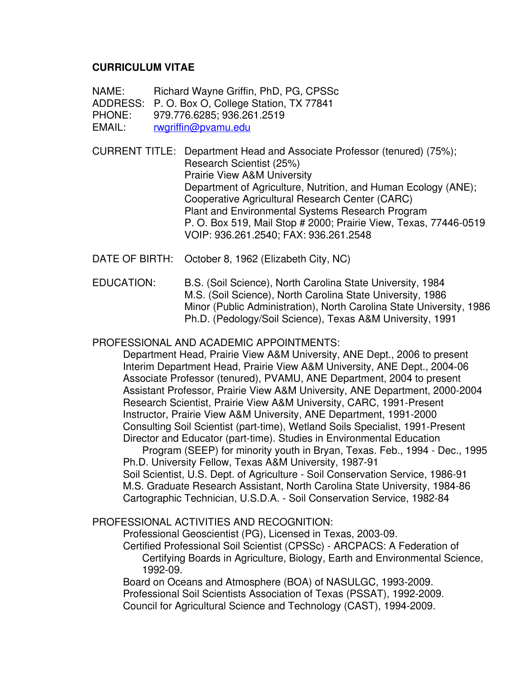## **CURRICULUM VITAE**

NAME: Richard Wayne Griffin, PhD, PG, CPSSc

ADDRESS: P. O. Box O, College Station, TX 77841

PHONE: 979.776.6285; 936.261.2519

EMAIL: [rwgriffin@pvamu.edu](mailto:rwgriffin@pvamu.edu)

CURRENT TITLE: Department Head and Associate Professor (tenured) (75%); Research Scientist (25%) Prairie View A&M University Department of Agriculture, Nutrition, and Human Ecology (ANE); Cooperative Agricultural Research Center (CARC) Plant and Environmental Systems Research Program P. O. Box 519, Mail Stop # 2000; Prairie View, Texas, 77446-0519 VOIP: 936.261.2540; FAX: 936.261.2548

DATE OF BIRTH: October 8, 1962 (Elizabeth City, NC)

EDUCATION: B.S. (Soil Science), North Carolina State University, 1984 M.S. (Soil Science), North Carolina State University, 1986 Minor (Public Administration), North Carolina State University, 1986 Ph.D. (Pedology/Soil Science), Texas A&M University, 1991

## PROFESSIONAL AND ACADEMIC APPOINTMENTS:

 Department Head, Prairie View A&M University, ANE Dept., 2006 to present Interim Department Head, Prairie View A&M University, ANE Dept., 2004-06 Associate Professor (tenured), PVAMU, ANE Department, 2004 to present Assistant Professor, Prairie View A&M University, ANE Department, 2000-2004 Research Scientist, Prairie View A&M University, CARC, 1991-Present Instructor, Prairie View A&M University, ANE Department, 1991-2000 Consulting Soil Scientist (part-time), Wetland Soils Specialist, 1991-Present Director and Educator (part-time). Studies in Environmental Education

 Program (SEEP) for minority youth in Bryan, Texas. Feb., 1994 - Dec., 1995 Ph.D. University Fellow, Texas A&M University, 1987-91 Soil Scientist, U.S. Dept. of Agriculture - Soil Conservation Service, 1986-91 M.S. Graduate Research Assistant, North Carolina State University, 1984-86 Cartographic Technician, U.S.D.A. - Soil Conservation Service, 1982-84

# PROFESSIONAL ACTIVITIES AND RECOGNITION:

 Professional Geoscientist (PG), Licensed in Texas, 2003-09. Certified Professional Soil Scientist (CPSSc) - ARCPACS: A Federation of Certifying Boards in Agriculture, Biology, Earth and Environmental Science,

1992-09.

Board on Oceans and Atmosphere (BOA) of NASULGC, 1993-2009. Professional Soil Scientists Association of Texas (PSSAT), 1992-2009. Council for Agricultural Science and Technology (CAST), 1994-2009.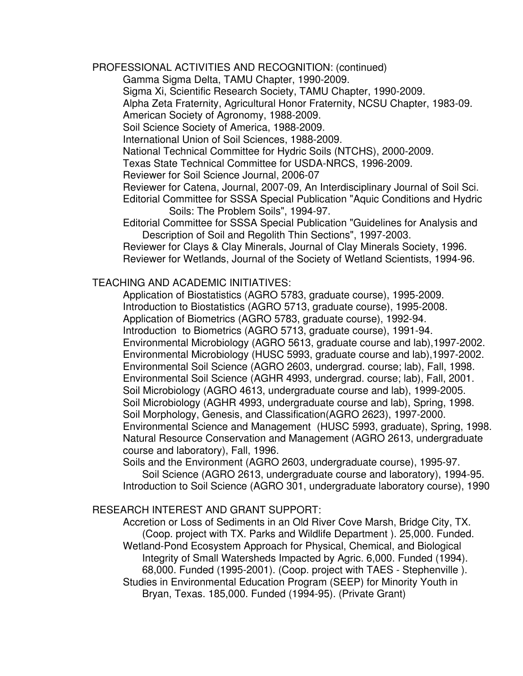PROFESSIONAL ACTIVITIES AND RECOGNITION: (continued)

Gamma Sigma Delta, TAMU Chapter, 1990-2009.

Sigma Xi, Scientific Research Society, TAMU Chapter, 1990-2009.

Alpha Zeta Fraternity, Agricultural Honor Fraternity, NCSU Chapter, 1983-09.

American Society of Agronomy, 1988-2009.

Soil Science Society of America, 1988-2009.

International Union of Soil Sciences, 1988-2009.

National Technical Committee for Hydric Soils (NTCHS), 2000-2009.

Texas State Technical Committee for USDA-NRCS, 1996-2009.

Reviewer for Soil Science Journal, 2006-07

 Reviewer for Catena, Journal, 2007-09, An Interdisciplinary Journal of Soil Sci. Editorial Committee for SSSA Special Publication "Aquic Conditions and Hydric Soils: The Problem Soils", 1994-97.

 Editorial Committee for SSSA Special Publication "Guidelines for Analysis and Description of Soil and Regolith Thin Sections", 1997-2003.

 Reviewer for Clays & Clay Minerals, Journal of Clay Minerals Society, 1996. Reviewer for Wetlands, Journal of the Society of Wetland Scientists, 1994-96.

#### TEACHING AND ACADEMIC INITIATIVES:

 Application of Biostatistics (AGRO 5783, graduate course), 1995-2009. Introduction to Biostatistics (AGRO 5713, graduate course), 1995-2008. Application of Biometrics (AGRO 5783, graduate course), 1992-94. Introduction to Biometrics (AGRO 5713, graduate course), 1991-94. Environmental Microbiology (AGRO 5613, graduate course and lab),1997-2002. Environmental Microbiology (HUSC 5993, graduate course and lab),1997-2002. Environmental Soil Science (AGRO 2603, undergrad. course; lab), Fall, 1998. Environmental Soil Science (AGHR 4993, undergrad. course; lab), Fall, 2001. Soil Microbiology (AGRO 4613, undergraduate course and lab), 1999-2005. Soil Microbiology (AGHR 4993, undergraduate course and lab), Spring, 1998. Soil Morphology, Genesis, and Classification(AGRO 2623), 1997-2000. Environmental Science and Management (HUSC 5993, graduate), Spring, 1998. Natural Resource Conservation and Management (AGRO 2613, undergraduate course and laboratory), Fall, 1996.

 Soils and the Environment (AGRO 2603, undergraduate course), 1995-97. Soil Science (AGRO 2613, undergraduate course and laboratory), 1994-95. Introduction to Soil Science (AGRO 301, undergraduate laboratory course), 1990

#### RESEARCH INTEREST AND GRANT SUPPORT:

Accretion or Loss of Sediments in an Old River Cove Marsh, Bridge City, TX. (Coop. project with TX. Parks and Wildlife Department ). 25,000. Funded. Wetland-Pond Ecosystem Approach for Physical, Chemical, and Biological Integrity of Small Watersheds Impacted by Agric. 6,000. Funded (1994). 68,000. Funded (1995-2001). (Coop. project with TAES - Stephenville ). Studies in Environmental Education Program (SEEP) for Minority Youth in Bryan, Texas. 185,000. Funded (1994-95). (Private Grant)